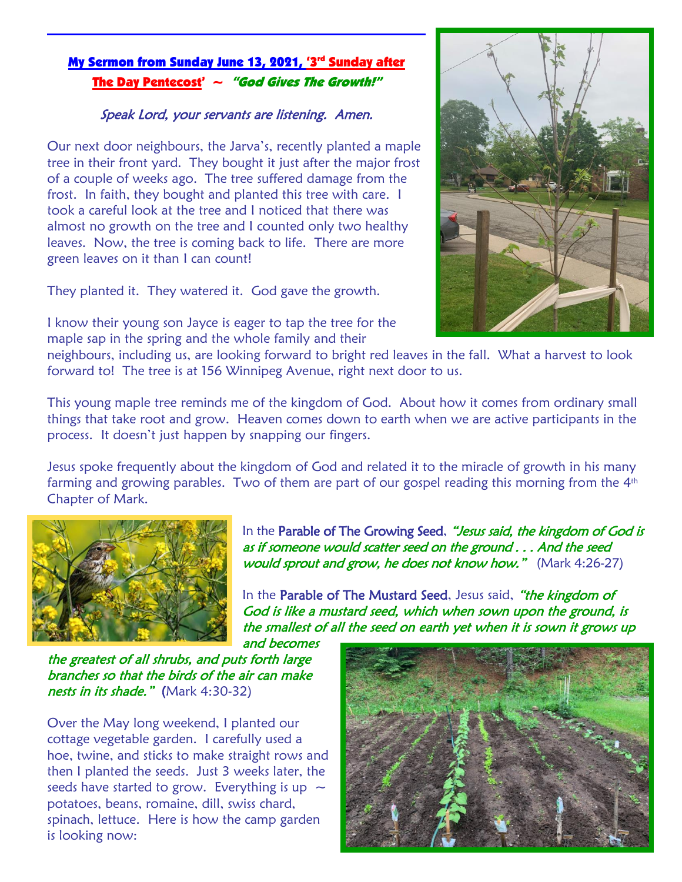## <u>My Sermon from Sunday June 13, 2021, '3<sup>rd</sup> Sunday after</u> The Day Pentecost'  $\sim$  "God Gives The Growth!"

## Speak Lord, your servants are listening. Amen.

Our next door neighbours, the Jarva's, recently planted a maple tree in their front yard. They bought it just after the major frost of a couple of weeks ago. The tree suffered damage from the frost. In faith, they bought and planted this tree with care. I took a careful look at the tree and I noticed that there was almost no growth on the tree and I counted only two healthy leaves. Now, the tree is coming back to life. There are more green leaves on it than I can count!

They planted it. They watered it. God gave the growth.

I know their young son Jayce is eager to tap the tree for the maple sap in the spring and the whole family and their



neighbours, including us, are looking forward to bright red leaves in the fall. What a harvest to look forward to! The tree is at 156 Winnipeg Avenue, right next door to us.

This young maple tree reminds me of the kingdom of God. About how it comes from ordinary small things that take root and grow. Heaven comes down to earth when we are active participants in the process. It doesn't just happen by snapping our fingers.

Jesus spoke frequently about the kingdom of God and related it to the miracle of growth in his many farming and growing parables. Two of them are part of our gospel reading this morning from the  $4<sup>th</sup>$ Chapter of Mark.



In the Parable of The Growing Seed, "Jesus said, the kingdom of God is as if someone would scatter seed on the ground . . . And the seed would sprout and grow, he does not know how." (Mark 4:26-27)

In the Parable of The Mustard Seed, Jesus said, "the kingdom of God is like a mustard seed, which when sown upon the ground, is the smallest of all the seed on earth yet when it is sown it grows up and becomes

the greatest of all shrubs, and puts forth large branches so that the birds of the air can make nests in its shade." (Mark 4:30-32)

Over the May long weekend, I planted our cottage vegetable garden. I carefully used a hoe, twine, and sticks to make straight rows and then I planted the seeds. Just 3 weeks later, the seeds have started to grow. Everything is up  $\sim$ potatoes, beans, romaine, dill, swiss chard, spinach, lettuce. Here is how the camp garden is looking now:

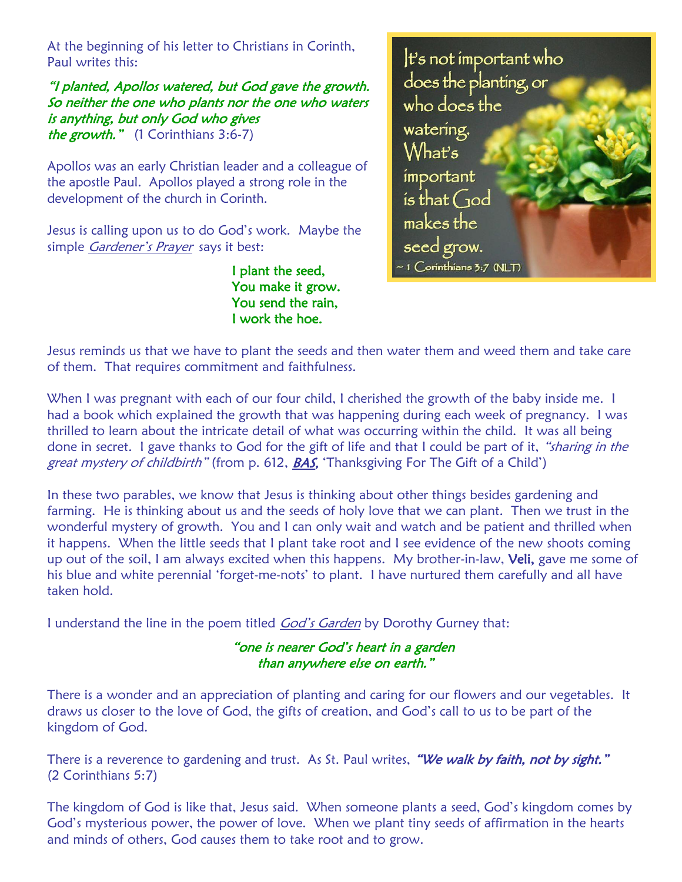At the beginning of his letter to Christians in Corinth, Paul writes this:

"I planted, Apollos watered, but God gave the growth. So neither the one who plants nor the one who waters is anything, but only God who gives the growth." (1 Corinthians 3:6-7)

Apollos was an early Christian leader and a colleague of the apostle Paul. Apollos played a strong role in the development of the church in Corinth.

Jesus is calling upon us to do God's work. Maybe the simple Gardener's Prayer says it best:

> I plant the seed, You make it grow. You send the rain, I work the hoe.



Jesus reminds us that we have to plant the seeds and then water them and weed them and take care of them. That requires commitment and faithfulness.

When I was pregnant with each of our four child, I cherished the growth of the baby inside me. I had a book which explained the growth that was happening during each week of pregnancy. I was thrilled to learn about the intricate detail of what was occurring within the child. It was all being done in secret. I gave thanks to God for the gift of life and that I could be part of it, "sharing in the great mystery of childbirth" (from p. 612, **BAS,** 'Thanksgiving For The Gift of a Child')

In these two parables, we know that Jesus is thinking about other things besides gardening and farming. He is thinking about us and the seeds of holy love that we can plant. Then we trust in the wonderful mystery of growth. You and I can only wait and watch and be patient and thrilled when it happens. When the little seeds that I plant take root and I see evidence of the new shoots coming up out of the soil, I am always excited when this happens. My brother-in-law, Veli, gave me some of his blue and white perennial 'forget-me-nots' to plant. I have nurtured them carefully and all have taken hold.

I understand the line in the poem titled God's Garden by Dorothy Gurney that:

"one is nearer God's heart in a garden than anywhere else on earth."

There is a wonder and an appreciation of planting and caring for our flowers and our vegetables. It draws us closer to the love of God, the gifts of creation, and God's call to us to be part of the kingdom of God.

There is a reverence to gardening and trust. As St. Paul writes, "We walk by faith, not by sight." (2 Corinthians 5:7)

The kingdom of God is like that, Jesus said. When someone plants a seed, God's kingdom comes by God's mysterious power, the power of love. When we plant tiny seeds of affirmation in the hearts and minds of others, God causes them to take root and to grow.